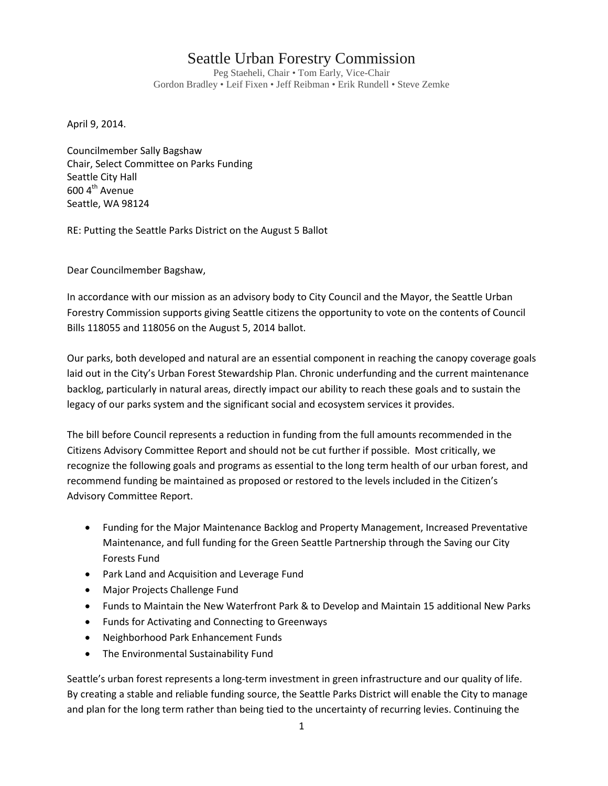## Seattle Urban Forestry Commission

Peg Staeheli, Chair • Tom Early, Vice-Chair Gordon Bradley • Leif Fixen • Jeff Reibman • Erik Rundell • Steve Zemke

April 9, 2014.

Councilmember Sally Bagshaw Chair, Select Committee on Parks Funding Seattle City Hall  $600$  4<sup>th</sup> Avenue Seattle, WA 98124

RE: Putting the Seattle Parks District on the August 5 Ballot

Dear Councilmember Bagshaw,

In accordance with our mission as an advisory body to City Council and the Mayor, the Seattle Urban Forestry Commission supports giving Seattle citizens the opportunity to vote on the contents of Council Bills 118055 and 118056 on the August 5, 2014 ballot.

Our parks, both developed and natural are an essential component in reaching the canopy coverage goals laid out in the City's Urban Forest Stewardship Plan. Chronic underfunding and the current maintenance backlog, particularly in natural areas, directly impact our ability to reach these goals and to sustain the legacy of our parks system and the significant social and ecosystem services it provides.

The bill before Council represents a reduction in funding from the full amounts recommended in the Citizens Advisory Committee Report and should not be cut further if possible. Most critically, we recognize the following goals and programs as essential to the long term health of our urban forest, and recommend funding be maintained as proposed or restored to the levels included in the Citizen's Advisory Committee Report.

- Funding for the Major Maintenance Backlog and Property Management, Increased Preventative Maintenance, and full funding for the Green Seattle Partnership through the Saving our City Forests Fund
- Park Land and Acquisition and Leverage Fund
- Major Projects Challenge Fund
- Funds to Maintain the New Waterfront Park & to Develop and Maintain 15 additional New Parks
- Funds for Activating and Connecting to Greenways
- Neighborhood Park Enhancement Funds
- The Environmental Sustainability Fund

Seattle's urban forest represents a long-term investment in green infrastructure and our quality of life. By creating a stable and reliable funding source, the Seattle Parks District will enable the City to manage and plan for the long term rather than being tied to the uncertainty of recurring levies. Continuing the